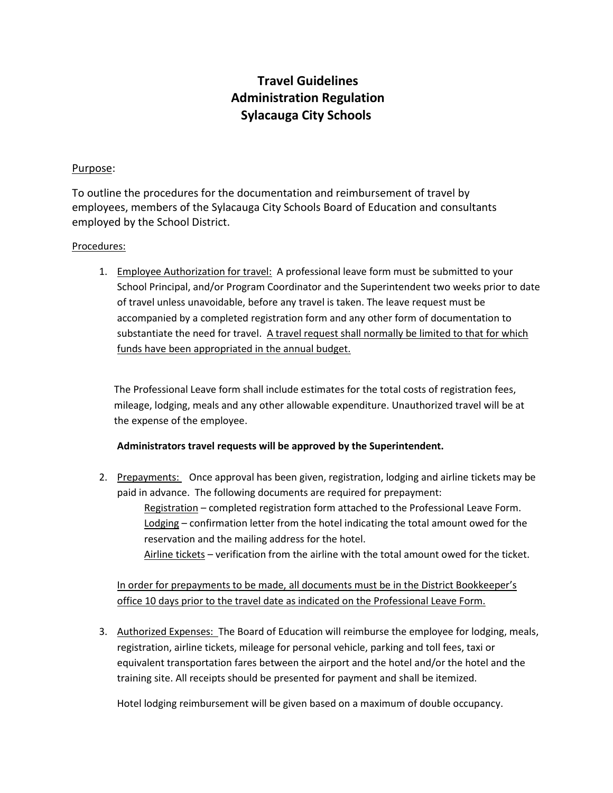## **Travel Guidelines Administration Regulation Sylacauga City Schools**

## Purpose:

To outline the procedures for the documentation and reimbursement of travel by employees, members of the Sylacauga City Schools Board of Education and consultants employed by the School District.

## Procedures:

1. Employee Authorization for travel: A professional leave form must be submitted to your School Principal, and/or Program Coordinator and the Superintendent two weeks prior to date of travel unless unavoidable, before any travel is taken. The leave request must be accompanied by a completed registration form and any other form of documentation to substantiate the need for travel. A travel request shall normally be limited to that for which funds have been appropriated in the annual budget.

The Professional Leave form shall include estimates for the total costs of registration fees, mileage, lodging, meals and any other allowable expenditure. Unauthorized travel will be at the expense of the employee.

## **Administrators travel requests will be approved by the Superintendent.**

2. Prepayments: Once approval has been given, registration, lodging and airline tickets may be paid in advance. The following documents are required for prepayment:

Registration – completed registration form attached to the Professional Leave Form. Lodging – confirmation letter from the hotel indicating the total amount owed for the reservation and the mailing address for the hotel. Airline tickets – verification from the airline with the total amount owed for the ticket.

In order for prepayments to be made, all documents must be in the District Bookkeeper's office 10 days prior to the travel date as indicated on the Professional Leave Form.

3. Authorized Expenses: The Board of Education will reimburse the employee for lodging, meals, registration, airline tickets, mileage for personal vehicle, parking and toll fees, taxi or equivalent transportation fares between the airport and the hotel and/or the hotel and the training site. All receipts should be presented for payment and shall be itemized.

Hotel lodging reimbursement will be given based on a maximum of double occupancy.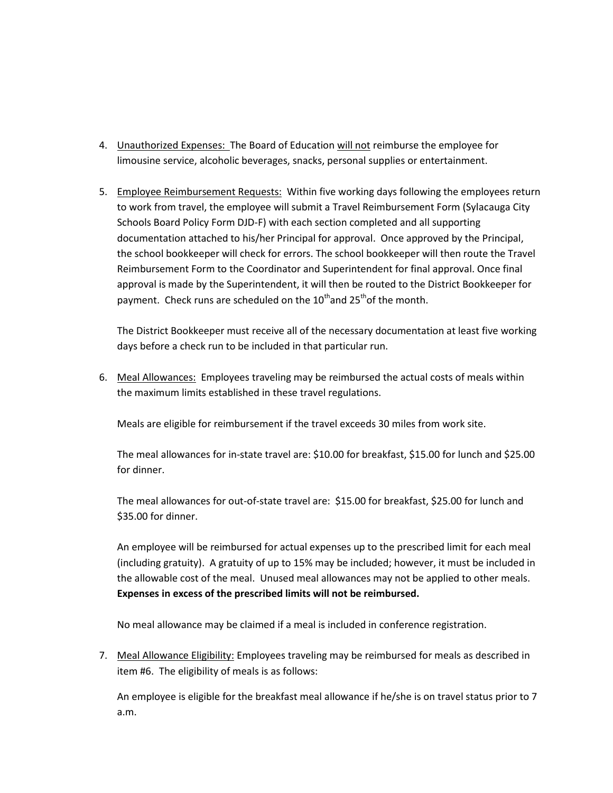- 4. Unauthorized Expenses: The Board of Education will not reimburse the employee for limousine service, alcoholic beverages, snacks, personal supplies or entertainment.
- 5. Employee Reimbursement Requests: Within five working days following the employees return to work from travel, the employee will submit a Travel Reimbursement Form (Sylacauga City Schools Board Policy Form DJD-F) with each section completed and all supporting documentation attached to his/her Principal for approval. Once approved by the Principal, the school bookkeeper will check for errors. The school bookkeeper will then route the Travel Reimbursement Form to the Coordinator and Superintendent for final approval. Once final approval is made by the Superintendent, it will then be routed to the District Bookkeeper for payment. Check runs are scheduled on the  $10^{th}$  and  $25^{th}$  of the month.

The District Bookkeeper must receive all of the necessary documentation at least five working days before a check run to be included in that particular run.

6. Meal Allowances: Employees traveling may be reimbursed the actual costs of meals within the maximum limits established in these travel regulations.

Meals are eligible for reimbursement if the travel exceeds 30 miles from work site.

The meal allowances for in-state travel are: \$10.00 for breakfast, \$15.00 for lunch and \$25.00 for dinner.

The meal allowances for out-of-state travel are: \$15.00 for breakfast, \$25.00 for lunch and \$35.00 for dinner.

An employee will be reimbursed for actual expenses up to the prescribed limit for each meal (including gratuity). A gratuity of up to 15% may be included; however, it must be included in the allowable cost of the meal. Unused meal allowances may not be applied to other meals. **Expenses in excess of the prescribed limits will not be reimbursed.**

No meal allowance may be claimed if a meal is included in conference registration.

7. Meal Allowance Eligibility: Employees traveling may be reimbursed for meals as described in item #6. The eligibility of meals is as follows:

An employee is eligible for the breakfast meal allowance if he/she is on travel status prior to 7 a.m.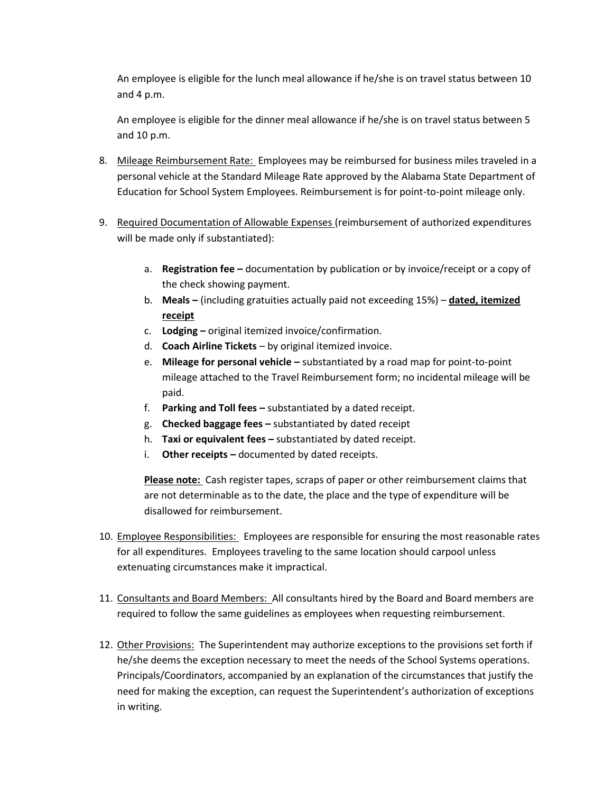An employee is eligible for the lunch meal allowance if he/she is on travel status between 10 and 4 p.m.

An employee is eligible for the dinner meal allowance if he/she is on travel status between 5 and 10 p.m.

- 8. Mileage Reimbursement Rate: Employees may be reimbursed for business miles traveled in a personal vehicle at the Standard Mileage Rate approved by the Alabama State Department of Education for School System Employees. Reimbursement is for point-to-point mileage only.
- 9. Required Documentation of Allowable Expenses (reimbursement of authorized expenditures will be made only if substantiated):
	- a. **Registration fee –** documentation by publication or by invoice/receipt or a copy of the check showing payment.
	- b. **Meals –** (including gratuities actually paid not exceeding 15%) **dated, itemized receipt**
	- c. **Lodging –** original itemized invoice/confirmation.
	- d. **Coach Airline Tickets**  by original itemized invoice.
	- e. **Mileage for personal vehicle –** substantiated by a road map for point-to-point mileage attached to the Travel Reimbursement form; no incidental mileage will be paid.
	- f. **Parking and Toll fees –** substantiated by a dated receipt.
	- g. **Checked baggage fees –** substantiated by dated receipt
	- h. **Taxi or equivalent fees –** substantiated by dated receipt.
	- i. **Other receipts –** documented by dated receipts.

**Please note:** Cash register tapes, scraps of paper or other reimbursement claims that are not determinable as to the date, the place and the type of expenditure will be disallowed for reimbursement.

- 10. Employee Responsibilities: Employees are responsible for ensuring the most reasonable rates for all expenditures. Employees traveling to the same location should carpool unless extenuating circumstances make it impractical.
- 11. Consultants and Board Members: All consultants hired by the Board and Board members are required to follow the same guidelines as employees when requesting reimbursement.
- 12. Other Provisions: The Superintendent may authorize exceptions to the provisions set forth if he/she deems the exception necessary to meet the needs of the School Systems operations. Principals/Coordinators, accompanied by an explanation of the circumstances that justify the need for making the exception, can request the Superintendent's authorization of exceptions in writing.